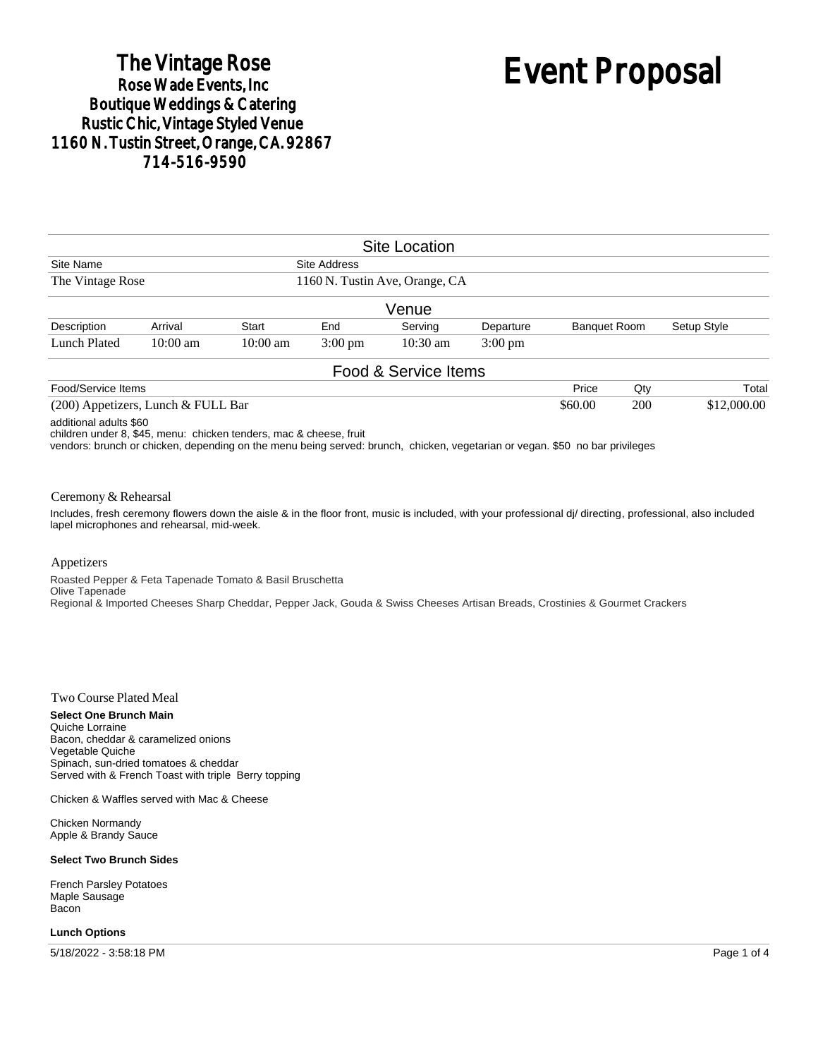## The Vintage Rose<br>Rose Wade Events, Inc **Boutique Weddings & Catering Rustic Chic, Vintage Styled Venue** 1160 N. Tustin Street, Orange, CA. 92867 714-516-9590

# Event Proposal

|                                    |            |                    |                                                | <b>Site Location</b> |                   |                     |     |             |             |
|------------------------------------|------------|--------------------|------------------------------------------------|----------------------|-------------------|---------------------|-----|-------------|-------------|
| Site Name<br>The Vintage Rose      |            |                    | Site Address<br>1160 N. Tustin Ave, Orange, CA |                      |                   |                     |     |             |             |
|                                    |            |                    |                                                |                      |                   |                     |     |             |             |
|                                    |            |                    |                                                | Venue                |                   |                     |     |             |             |
| Description                        | Arrival    | <b>Start</b>       | End                                            | Serving              | Departure         | <b>Banquet Room</b> |     | Setup Style |             |
| Lunch Plated                       | $10:00$ am | $10:00 \text{ am}$ | $3:00 \text{ pm}$                              | $10:30 \text{ am}$   | $3:00 \text{ pm}$ |                     |     |             |             |
|                                    |            |                    |                                                | Food & Service Items |                   |                     |     |             |             |
| Food/Service Items                 |            |                    |                                                |                      |                   | Price               | Qty |             | Total       |
| (200) Appetizers, Lunch & FULL Bar |            |                    |                                                |                      |                   |                     | 200 |             | \$12,000.00 |

additional adults \$60

children under 8, \$45, menu: chicken tenders, mac & cheese, fruit

vendors: brunch or chicken, depending on the menu being served: brunch, chicken, vegetarian or vegan. \$50 no bar privileges

#### Ceremony & Rehearsal

Includes, fresh ceremony flowers down the aisle & in the floor front, music is included, with your professional dj/ directing, professional, also included lapel microphones and rehearsal, mid-week.

#### Appetizers

Roasted Pepper & Feta Tapenade Tomato & Basil Bruschetta Olive Tapenade Regional & Imported Cheeses Sharp Cheddar, Pepper Jack, Gouda & Swiss Cheeses Artisan Breads, Crostinies & Gourmet Crackers

#### Two Course Plated Meal

**Select One Brunch Main** Quiche Lorraine Bacon, cheddar & caramelized onions Vegetable Quiche Spinach, sun-dried tomatoes & cheddar Served with & French Toast with triple Berry topping

Chicken & Waffles served with Mac & Cheese

Chicken Normandy Apple & Brandy Sauce

#### **Select Two Brunch Sides**

French Parsley Potatoes Maple Sausage Bacon

#### **Lunch Options**

5/18/2022 - 3:58:18 PM Page 1 of 4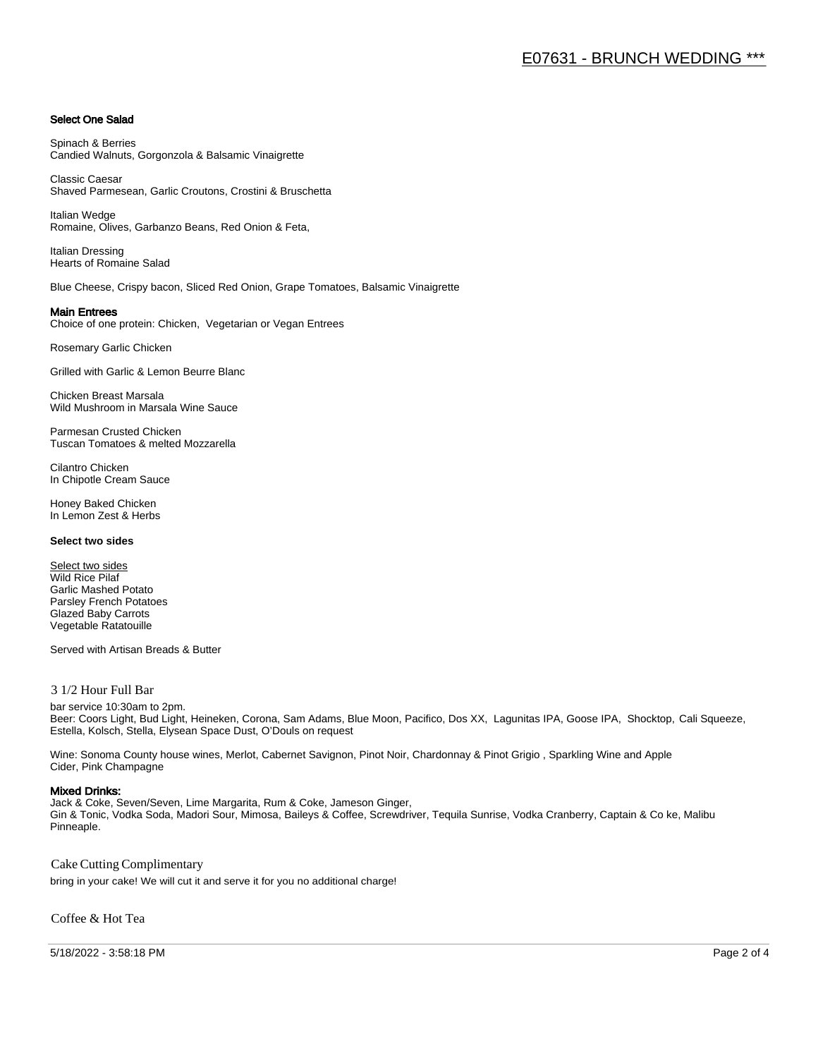#### Select One Salad

Spinach & Berries Candied Walnuts, Gorgonzola & Balsamic Vinaigrette

Classic Caesar Shaved Parmesean, Garlic Croutons, Crostini & Bruschetta

Italian Wedge Romaine, Olives, Garbanzo Beans, Red Onion & Feta,

Italian Dressing Hearts of Romaine Salad

Blue Cheese, Crispy bacon, Sliced Red Onion, Grape Tomatoes, Balsamic Vinaigrette

#### Main Entrees

Choice of one protein: Chicken, Vegetarian or Vegan Entrees

Rosemary Garlic Chicken

Grilled with Garlic & Lemon Beurre Blanc

Chicken Breast Marsala Wild Mushroom in Marsala Wine Sauce

Parmesan Crusted Chicken Tuscan Tomatoes & melted Mozzarella

Cilantro Chicken In Chipotle Cream Sauce

Honey Baked Chicken In Lemon Zest & Herbs

#### **Select two sides**

Select two sides Wild Rice Pilaf Garlic Mashed Potato Parsley French Potatoes Glazed Baby Carrots Vegetable Ratatouille

Served with Artisan Breads & Butter

#### 3 1/2 Hour Full Bar

bar service 10:30am to 2pm. Beer: Coors Light, Bud Light, Heineken, Corona, Sam Adams, Blue Moon, Pacifico, Dos XX, Lagunitas IPA, Goose IPA, Shocktop, Cali Squeeze, Estella, Kolsch, Stella, Elysean Space Dust, O'Douls on request

Wine: Sonoma County house wines, Merlot, Cabernet Savignon, Pinot Noir, Chardonnay & Pinot Grigio , Sparkling Wine and Apple Cider, Pink Champagne

#### Mixed Drinks:

Jack & Coke, Seven/Seven, Lime Margarita, Rum & Coke, Jameson Ginger, Gin & Tonic, Vodka Soda, Madori Sour, Mimosa, Baileys & Coffee, Screwdriver, Tequila Sunrise, Vodka Cranberry, Captain & Co ke, Malibu Pinneaple.

Cake Cutting Complimentary

bring in your cake! We will cut it and serve it for you no additional charge!

Coffee & Hot Tea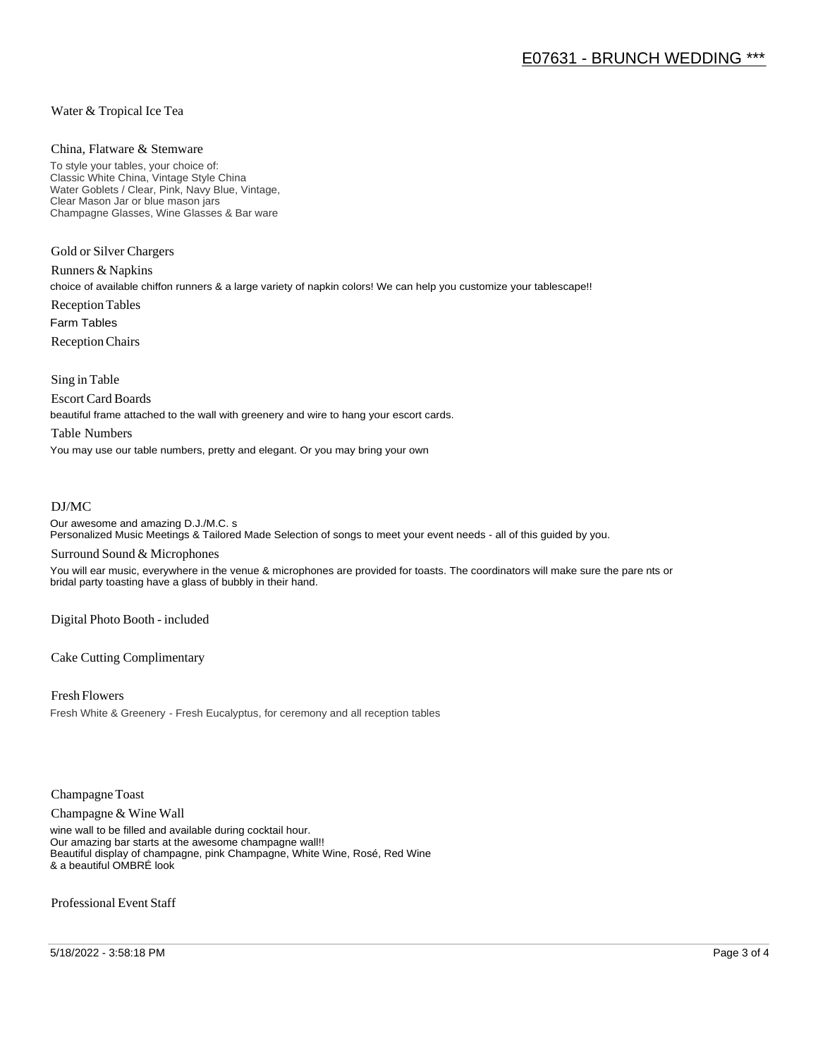#### Water & Tropical Ice Tea

#### China, Flatware & Stemware

To style your tables, your choice of: Classic White China, Vintage Style China Water Goblets / Clear, Pink, Navy Blue, Vintage, Clear Mason Jar or blue mason jars Champagne Glasses, Wine Glasses & Bar ware

Gold or Silver Chargers

Runners & Napkins choice of available chiffon runners & a large variety of napkin colors! We can help you customize your tablescape!! Reception Tables Farm Tables Reception Chairs

Sing in Table

Escort Card Boards

beautiful frame attached to the wall with greenery and wire to hang your escort cards.

#### Table Numbers

You may use our table numbers, pretty and elegant. Or you may bring your own

#### DJ/MC

Our awesome and amazing D.J./M.C. s Personalized Music Meetings & Tailored Made Selection of songs to meet your event needs - all of this guided by you.

#### Surround Sound & Microphones

You will ear music, everywhere in the venue & microphones are provided for toasts. The coordinators will make sure the pare nts or bridal party toasting have a glass of bubbly in their hand.

Digital Photo Booth - included

Cake Cutting Complimentary

Fresh Flowers Fresh White & Greenery - Fresh Eucalyptus, for ceremony and all reception tables

Champagne Toast

Champagne & Wine Wall

wine wall to be filled and available during cocktail hour. Our amazing bar starts at the awesome champagne wall!! Beautiful display of champagne, pink Champagne, White Wine, Rosé, Red Wine & a beautiful OMBRÉ look

Professional Event Staff